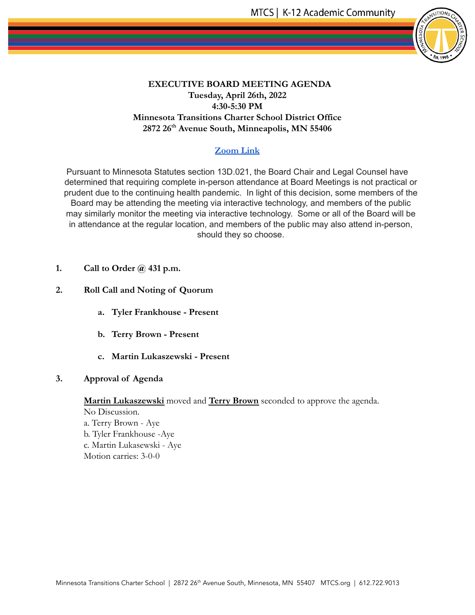

## **EXECUTIVE BOARD MEETING AGENDA Tuesday, April 26th, 2022 4:30-5:30 PM Minnesota Transitions Charter School District Office 2872 26th Avenue South, Minneapolis, MN 55406**

## **[Zoom Link](https://us05web.zoom.us/j/88066359712?pwd=M2NGckFWZkVWeXRGdEJCOE9DOGdBUT09)**

Pursuant to Minnesota Statutes section 13D.021, the Board Chair and Legal Counsel have determined that requiring complete in-person attendance at Board Meetings is not practical or prudent due to the continuing health pandemic. In light of this decision, some members of the Board may be attending the meeting via interactive technology, and members of the public may similarly monitor the meeting via interactive technology. Some or all of the Board will be in attendance at the regular location, and members of the public may also attend in-person, should they so choose.

- **1. Call to Order @ 431 p.m.**
- **2. Roll Call and Noting of Quorum**
	- **a. Tyler Frankhouse Present**
	- **b. Terry Brown Present**
	- **c. Martin Lukaszewski Present**
- **3. Approval of Agenda**

**Martin Lukaszewski** moved and **Terry Brown** seconded to approve the agenda.

No Discussion. a. Terry Brown - Aye b. Tyler Frankhouse -Aye c. Martin Lukasewski - Aye Motion carries: 3-0-0